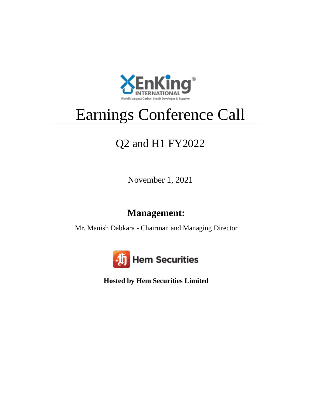

## Earnings Conference Call

## Q2 and H1 FY2022

November 1, 2021

## **Management:**

Mr. Manish Dabkara - Chairman and Managing Director



**Hosted by Hem Securities Limited**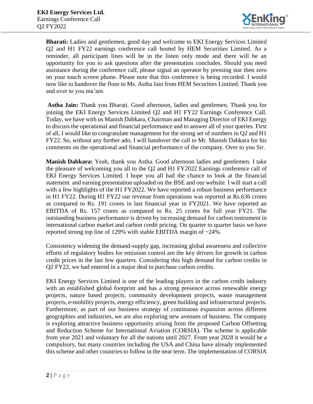

**Bharati:** Ladies and gentlemen, good day and welcome to EKI Energy Services Limited Q2 and H1 FY22 earnings conference call hosted by HEM Securities Limited. As a reminder, all participant lines will be in the listen only mode and there will be an opportunity for you to ask questions after the presentation concludes. Should you need assistance during the conference call, please signal an operator by pressing star then zero on your touch screen phone. Please note that this conference is being recorded. I would now like to handover the floor to Ms. Astha Jain from HEM Securities Limited. Thank you and over to you ma'am.

**Astha Jain:** Thank you Bharati. Good afternoon, ladies and gentlemen. Thank you for joining the EKI Energy Services Limited Q2 and H1 FY22 Earnings Conference Call. Today, we have with us Manish Dabkara, Chairman and Managing Director of EKI Energy to discuss the operational and financial performance and to answer all of your queries. First of all, I would like to congratulate management for the strong set of numbers in Q2 and H1 FY22. So, without any further ado, I will handover the call to Mr. Manish Dabkara for his comments on the operational and financial performance of the company. Over to you Sir.

**Manish Dabkara:** Yeah, thank you Astha. Good afternoon ladies and gentlemen. I take the pleasure of welcoming you all to the Q2 and H1 FY2022 Earnings conference call of EKI Energy Services Limited. I hope you all had the chance to look at the financial statement and earning presentation uploaded on the BSE and our website. I will start a call with a few highlights of the H1 FY2022. We have reported a robust business performance in H1 FY22. During H1 FY22 our revenue from operations was reported at Rs.636 crores as compared to Rs. 191 crores in last financial year in FY2021. We have reported an EBITDA of Rs. 157 crores as compared to Rs. 25 crores for full year FY21. The outstanding business performance is driven by increasing demand for carbon instrument in international carbon market and carbon credit pricing. On quarter to quarter basis we have reported strong top line of 129% with stable EBITDA margin of ~24%.

Consistency widening the demand-supply gap, increasing global awareness and collective efforts of regulatory bodies for emission control are the key drivers for growth in carbon credit prices in the last few quarters. Considering this high demand for carbon credits in Q2 FY22, we had entered in a major deal to purchase carbon credits.

EKI Energy Services Limited is one of the leading players in the carbon credit industry with an established global footprint and has a strong presence across renewable energy projects, nature based projects, community development projects, waste management projects, e-mobility projects, energy efficiency, green building and infrastructural projects. Furthermore, as part of our business strategy of continuous expansion across different geographies and industries, we are also exploring new avenues of business. The company is exploring attractive business opportunity arising from the proposed Carbon Offsetting and Reduction Scheme for International Aviation (CORSIA). The scheme is applicable from year 2021 and voluntary for all the nations until 2027. From year 2028 it would be a compulsory, but many countries including the USA and China have already implemented this scheme and other countries to follow in the near term. The implementation of CORSIA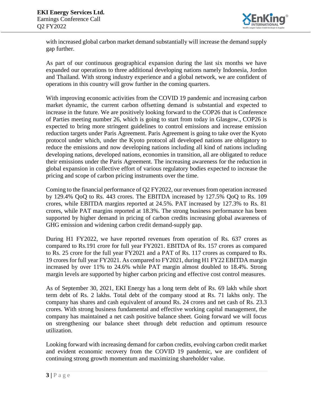

with increased global carbon market demand substantially will increase the demand supply gap further.

As part of our continuous geographical expansion during the last six months we have expanded our operations to three additional developing nations namely Indonesia, Jordon and Thailand. With strong industry experience and a global network, we are confident of operations in this country will grow further in the coming quarters.

With improving economic activities from the COVID 19 pandemic and increasing carbon market dynamic, the current carbon offsetting demand is substantial and expected to increase in the future. We are positively looking forward to the COP26 that is Conference of Parties meeting number 26, which is going to start from today in Glasgow., COP26 is expected to bring more stringent guidelines to control emissions and increase emission reduction targets under Paris Agreement. Paris Agreement is going to take over the Kyoto protocol under which, under the Kyoto protocol all developed nations are obligatory to reduce the emissions and now developing nations including all kind of nations including developing nations, developed nations, economies in transition, all are obligated to reduce their emissions under the Paris Agreement. The increasing awareness for the reduction in global expansion in collective effort of various regulatory bodies expected to increase the pricing and scope of carbon pricing instruments over the time.

Coming to the financial performance of Q2 FY2022, our revenues from operation increased by 129.4% QoQ to Rs. 443 crores. The EBITDA increased by 127.5% QoQ to Rs. 109 crores, while EBITDA margins reported at 24.5%. PAT increased by 127.3% to Rs. 81 crores, while PAT margins reported at 18.3%. The strong business performance has been supported by higher demand in pricing of carbon credits increasing global awareness of GHG emission and widening carbon credit demand-supply gap.

During H1 FY2022, we have reported revenues from operation of Rs. 637 crores as compared to Rs.191 crore for full year FY2021. EBITDA of Rs. 157 crores as compared to Rs. 25 crore for the full year FY2021 and a PAT of Rs. 117 crores as compared to Rs. 19 crores for full year FY2021. As compared to FY2021, during H1 FY22 EBITDA margin increased by over 11% to 24.6% while PAT margin almost doubled to 18.4%. Strong margin levels are supported by higher carbon pricing and effective cost control measures.

As of September 30, 2021, EKI Energy has a long term debt of Rs. 69 lakh while short term debt of Rs. 2 lakhs. Total debt of the company stood at Rs. 71 lakhs only. The company has shares and cash equivalent of around Rs. 24 crores and net cash of Rs. 23.3 crores. With strong business fundamental and effective working capital management, the company has maintained a net cash positive balance sheet. Going forward we will focus on strengthening our balance sheet through debt reduction and optimum resource utilization.

Looking forward with increasing demand for carbon credits, evolving carbon credit market and evident economic recovery from the COVID 19 pandemic, we are confident of continuing strong growth momentum and maximizing shareholder value.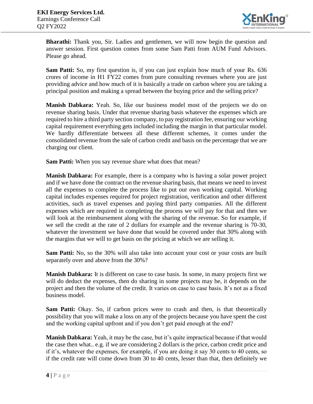

**Bharathi:** Thank you, Sir. Ladies and gentlemen, we will now begin the question and answer session. First question comes from some Sam Patti from AUM Fund Advisors. Please go ahead.

**Sam Patti:** So, my first question is, if you can just explain how much of your Rs. 636 crores of income in H1 FY22 comes from pure consulting revenues where you are just providing advice and how much of it is basically a trade on carbon where you are taking a principal position and making a spread between the buying price and the selling price?

**Manish Dabkara:** Yeah. So, like our business model most of the projects we do on revenue sharing basis. Under that revenue sharing basis whatever the expenses which are required to hire a third party section company, to pay registration fee, ensuring our working capital requirement everything gets included including the margin in that particular model. We hardly differentiate between all these different schemes, it comes under the consolidated revenue from the sale of carbon credit and basis on the percentage that we are charging our client.

**Sam Patti:** When you say revenue share what does that mean?

**Manish Dabkara:** For example, there is a company who is having a solar power project and if we have done the contract on the revenue sharing basis, that means we need to invest all the expenses to complete the process like to put our own working capital. Working capital includes expenses required for project registration, verification and other different activities, such as travel expenses and paying third party companies. All the different expenses which are required in completing the process we will pay for that and then we will look at the reimbursement along with the sharing of the revenue. So for example, if we sell the credit at the rate of 2 dollars for example and the revenue sharing is 70-30, whatever the investment we have done that would be covered under that 30% along with the margins that we will to get basis on the pricing at which we are selling it.

**Sam Patti:** No, so the 30% will also take into account your cost or your costs are built separately over and above from the 30%?

**Manish Dabkara:** It is different on case to case basis. In some, in many projects first we will do deduct the expenses, then do sharing in some projects may be, it depends on the project and then the volume of the credit. It varies on case to case basis. It's not as a fixed business model.

**Sam Patti:** Okay. So, if carbon prices were to crash and then, is that theoretically possibility that you will make a loss on any of the projects because you have spent the cost and the working capital upfront and if you don't get paid enough at the end?

**Manish Dabkara:** Yeah, it may be the case, but it's quite impractical because if that would the case then what.. e.g. if we are considering 2 dollars is the price, carbon credit price and if it's, whatever the expenses, for example, if you are doing it say 30 cents to 40 cents, so if the credit rate will come down from 30 to 40 cents, lesser than that, then definitely we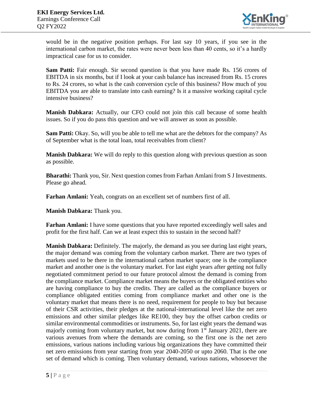

would be in the negative position perhaps. For last say 10 years, if you see in the international carbon market, the rates were never been less than 40 cents, so it's a hardly impractical case for us to consider.

**Sam Patti:** Fair enough. Sir second question is that you have made Rs. 156 crores of EBITDA in six months, but if I look at your cash balance has increased from Rs. 15 crores to Rs. 24 crores, so what is the cash conversion cycle of this business? How much of you EBITDA you are able to translate into cash earning? Is it a massive working capital cycle intensive business?

**Manish Dabkara:** Actually, our CFO could not join this call because of some health issues. So if you do pass this question and we will answer as soon as possible.

**Sam Patti:** Okay. So, will you be able to tell me what are the debtors for the company? As of September what is the total loan, total receivables from client?

**Manish Dabkara:** We will do reply to this question along with previous question as soon as possible.

**Bharathi:** Thank you, Sir. Next question comes from Farhan Amlani from S J Investments. Please go ahead.

**Farhan Amlani:** Yeah, congrats on an excellent set of numbers first of all.

**Manish Dabkara:** Thank you.

**Farhan Amlani:** I have some questions that you have reported exceedingly well sales and profit for the first half. Can we at least expect this to sustain in the second half?

**Manish Dabkara:** Definitely. The majorly, the demand as you see during last eight years, the major demand was coming from the voluntary carbon market. There are two types of markets used to be there in the international carbon market space; one is the compliance market and another one is the voluntary market. For last eight years after getting not fully negotiated commitment period to our future protocol almost the demand is coming from the compliance market. Compliance market means the buyers or the obligated entities who are having compliance to buy the credits. They are called as the compliance buyers or compliance obligated entities coming from compliance market and other one is the voluntary market that means there is no need, requirement for people to buy but because of their CSR activities, their pledges at the national-international level like the net zero emissions and other similar pledges like RE100, they buy the offset carbon credits or similar environmental commodities or instruments. So, for last eight years the demand was majorly coming from voluntary market, but now during from  $1<sup>st</sup>$  January 2021, there are various avenues from where the demands are coming, so the first one is the net zero emissions, various nations including various big organizations they have committed their net zero emissions from year starting from year 2040-2050 or upto 2060. That is the one set of demand which is coming. Then voluntary demand, various nations, whosoever the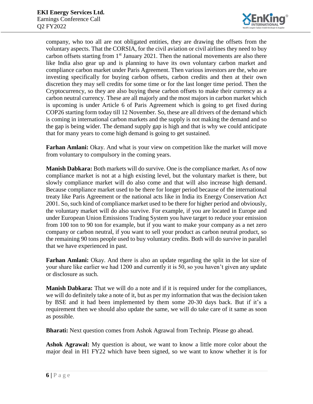

company, who too all are not obligated entities, they are drawing the offsets from the voluntary aspects. That the CORSIA, for the civil aviation or civil airlines they need to buy carbon offsets starting from  $1<sup>st</sup>$  January 2021. Then the national movements are also there like India also gear up and is planning to have its own voluntary carbon market and compliance carbon market under Paris Agreement. Then various investors are the, who are investing specifically for buying carbon offsets, carbon credits and then at their own discretion they may sell credits for some time or for the last longer time period. Then the Cryptocurrency, so they are also buying these carbon offsets to make their currency as a carbon neutral currency. These are all majorly and the most majors in carbon market which is upcoming is under Article 6 of Paris Agreement which is going to get fixed during COP26 starting form today till 12 November. So, these are all drivers of the demand which is coming in international carbon markets and the supply is not making the demand and so the gap is being wider. The demand supply gap is high and that is why we could anticipate that for many years to come high demand is going to get sustained.

**Farhan Amlani:** Okay. And what is your view on competition like the market will move from voluntary to compulsory in the coming years.

**Manish Dabkara:** Both markets will do survive. One is the compliance market. As of now compliance market is not at a high existing level, but the voluntary market is there, but slowly compliance market will do also come and that will also increase high demand. Because compliance market used to be there for longer period because of the international treaty like Paris Agreement or the national acts like in India its Energy Conservation Act 2001. So, such kind of compliance market used to be there for higher period and obviously, the voluntary market will do also survive. For example, if you are located in Europe and under European Union Emissions Trading System you have target to reduce your emission from 100 ton to 90 ton for example, but if you want to make your company as a net zero company or carbon neutral, if you want to sell your product as carbon neutral product, so the remaining 90 tons people used to buy voluntary credits. Both will do survive in parallel that we have experienced in past.

**Farhan Amlani:** Okay. And there is also an update regarding the split in the lot size of your share like earlier we had 1200 and currently it is 50, so you haven't given any update or disclosure as such.

**Manish Dabkara:** That we will do a note and if it is required under for the compliances, we will do definitely take a note of it, but as per my information that was the decision taken by BSE and it had been implemented by them some 20-30 days back. But if it's a requirement then we should also update the same, we will do take care of it same as soon as possible.

**Bharati:** Next question comes from Ashok Agrawal from Technip. Please go ahead.

**Ashok Agrawal:** My question is about, we want to know a little more color about the major deal in H1 FY22 which have been signed, so we want to know whether it is for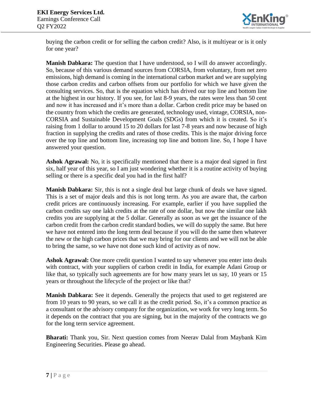

buying the carbon credit or for selling the carbon credit? Also, is it multiyear or is it only for one year?

**Manish Dabkara:** The question that I have understood, so I will do answer accordingly. So, because of this various demand sources from CORSIA, from voluntary, from net zero emissions, high demand is coming in the international carbon market and we are supplying those carbon credits and carbon offsets from our portfolio for which we have given the consulting services. So, that is the equation which has drived our top line and bottom line at the highest in our history. If you see, for last 8-9 years, the rates were less than 50 cent and now it has increased and it's more than a dollar. Carbon credit price may be based on the country from which the credits are generated, technology used, vintage, CORSIA, non-CORSIA and Sustainable Development Goals (SDGs) from which it is created. So it's raising from 1 dollar to around 15 to 20 dollars for last 7-8 years and now because of high fraction in supplying the credits and rates of those credits. This is the major driving force over the top line and bottom line, increasing top line and bottom line. So, I hope I have answered your question.

**Ashok Agrawal:** No, it is specifically mentioned that there is a major deal signed in first six, half year of this year, so I am just wondering whether it is a routine activity of buying selling or there is a specific deal you had in the first half?

**Manish Dabkara:** Sir, this is not a single deal but large chunk of deals we have signed. This is a set of major deals and this is not long term. As you are aware that, the carbon credit prices are continuously increasing. For example, earlier if you have supplied the carbon credits say one lakh credits at the rate of one dollar, but now the similar one lakh credits you are supplying at the 5 dollar. Generally as soon as we get the issuance of the carbon credit from the carbon credit standard bodies, we will do supply the same. But here we have not entered into the long term deal because if you will do the same then whatever the new or the high carbon prices that we may bring for our clients and we will not be able to bring the same, so we have not done such kind of activity as of now.

**Ashok Agrawal:** One more credit question I wanted to say whenever you enter into deals with contract, with your suppliers of carbon credit in India, for example Adani Group or like that, so typically such agreements are for how many years let us say, 10 years or 15 years or throughout the lifecycle of the project or like that?

**Manish Dabkara:** See it depends. Generally the projects that used to get registered are from 10 years to 90 years, so we call it as the credit period. So, it's a common practice as a consultant or the advisory company for the organization, we work for very long term. So it depends on the contract that you are signing, but in the majority of the contracts we go for the long term service agreement.

**Bharati:** Thank you, Sir. Next question comes from Neerav Dalal from Maybank Kim Engineering Securities. Please go ahead.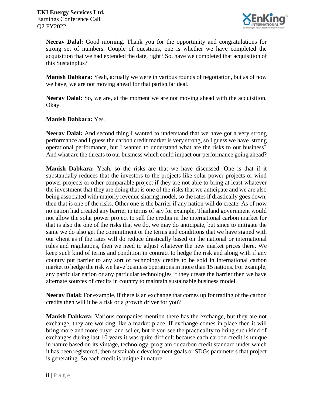

**Neerav Dalal:** Good morning. Thank you for the opportunity and congratulations for strong set of numbers. Couple of questions, one is whether we have completed the acquisition that we had extended the date, right? So, have we completed that acquisition of this Sustainplus?

**Manish Dabkara:** Yeah, actually we were in various rounds of negotiation, but as of now we have, we are not moving ahead for that particular deal.

**Neerav Dalal:** So, we are, at the moment we are not moving ahead with the acquisition. Okay.

**Manish Dabkara:** Yes.

**Neerav Dalal:** And second thing I wanted to understand that we have got a very strong performance and I guess the carbon credit market is very strong, so I guess we have strong operational performance, but I wanted to understand what are the risks to our business? And what are the threats to our business which could impact our performance going ahead?

**Manish Dabkara:** Yeah, so the risks are that we have discussed. One is that if it substantially reduces that the investors to the projects like solar power projects or wind power projects or other comparable project if they are not able to bring at least whatever the investment that they are doing that is one of the risks that we anticipate and we are also being associated with majorly revenue sharing model, so the rates if drastically goes down, then that is one of the risks. Other one is the barrier if any nation will do create. As of now no nation had created any barrier in terms of say for example, Thailand government would not allow the solar power project to sell the credits in the international carbon market for that is also the one of the risks that we do, we may do anticipate, but since to mitigate the same we do also get the commitment or the terms and conditions that we have signed with our client as if the rates will do reduce drastically based on the national or international rules and regulations, then we need to adjust whatever the new market prices there. We keep such kind of terms and condition in contract to hedge the risk and along with if any country put barrier to any sort of technology credits to be sold in international carbon market to hedge the risk we have business operations in more than 15 nations. For example, any particular nation or any particular technologies if they create the barrier then we have alternate sources of credits in country to maintain sustainable business model.

**Neerav Dalal:** For example, if there is an exchange that comes up for trading of the carbon credits then will it be a risk or a growth driver for you?

**Manish Dabkara:** Various companies mention there has the exchange, but they are not exchange, they are working like a market place. If exchange comes in place then it will bring more and more buyer and seller, but if you see the practicality to bring such kind of exchanges during last 10 years it was quite difficult because each carbon credit is unique in nature based on its vintage, technology, program or carbon credit standard under which it has been registered, then sustainable development goals or SDGs parameters that project is generating. So each credit is unique in nature.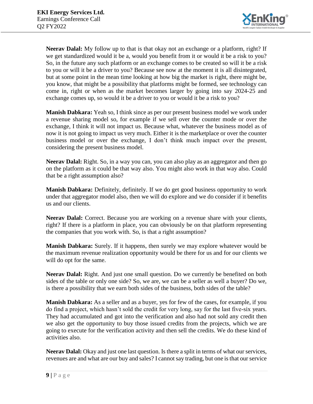

**Neerav Dalal:** My follow up to that is that okay not an exchange or a platform, right? If we get standardized would it be a, would you benefit from it or would it be a risk to you? So, in the future any such platform or an exchange comes to be created so will it be a risk to you or will it be a driver to you? Because see now at the moment it is all disintegrated, but at some point in the mean time looking at how big the market is right, there might be, you know, that might be a possibility that platforms might be formed, see technology can come in, right or when as the market becomes larger by going into say 2024-25 and exchange comes up, so would it be a driver to you or would it be a risk to you?

**Manish Dabkara:** Yeah so, I think since as per our present business model we work under a revenue sharing model so, for example if we sell over the counter mode or over the exchange, I think it will not impact us. Because what, whatever the business model as of now it is not going to impact us very much. Either it is the marketplace or over the counter business model or over the exchange, I don't think much impact over the present, considering the present business model.

**Neerav Dalal:** Right. So, in a way you can, you can also play as an aggregator and then go on the platform as it could be that way also. You might also work in that way also. Could that be a right assumption also?

**Manish Dabkara:** Definitely, definitely. If we do get good business opportunity to work under that aggregator model also, then we will do explore and we do consider if it benefits us and our clients.

**Neerav Dalal:** Correct. Because you are working on a revenue share with your clients, right? If there is a platform in place, you can obviously be on that platform representing the companies that you work with. So, is that a right assumption?

**Manish Dabkara:** Surely. If it happens, then surely we may explore whatever would be the maximum revenue realization opportunity would be there for us and for our clients we will do opt for the same.

**Neerav Dalal:** Right. And just one small question. Do we currently be benefited on both sides of the table or only one side? So, we are, we can be a seller as well a buyer? Do we, is there a possibility that we earn both sides of the business, both sides of the table?

**Manish Dabkara:** As a seller and as a buyer, yes for few of the cases, for example, if you do find a project, which hasn't sold the credit for very long, say for the last five-six years. They had accumulated and got into the verification and also had not sold any credit then we also get the opportunity to buy those issued credits from the projects, which we are going to execute for the verification activity and then sell the credits. We do these kind of activities also.

**Neerav Dalal:** Okay and just one last question. Is there a split in terms of what our services, revenues are and what are our buy and sales? I cannot say trading, but one is that our service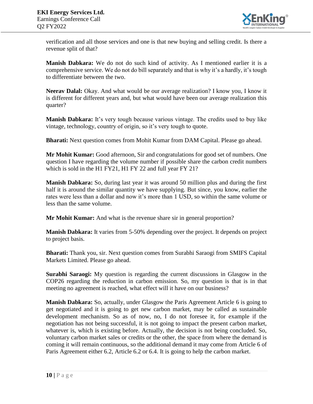

verification and all those services and one is that new buying and selling credit. Is there a revenue split of that?

**Manish Dabkara:** We do not do such kind of activity. As I mentioned earlier it is a comprehensive service. We do not do bill separately and that is why it's a hardly, it's tough to differentiate between the two.

**Neerav Dalal:** Okay. And what would be our average realization? I know you, I know it is different for different years and, but what would have been our average realization this quarter?

**Manish Dabkara:** It's very tough because various vintage. The credits used to buy like vintage, technology, country of origin, so it's very tough to quote.

**Bharati:** Next question comes from Mohit Kumar from DAM Capital. Please go ahead.

**Mr Mohit Kumar:** Good afternoon, Sir and congratulations for good set of numbers. One question I have regarding the volume number if possible share the carbon credit numbers which is sold in the H1 FY21, H1 FY 22 and full year FY 21?

**Manish Dabkara:** So, during last year it was around 50 million plus and during the first half it is around the similar quantity we have supplying. But since, you know, earlier the rates were less than a dollar and now it's more than 1 USD, so within the same volume or less than the same volume.

**Mr Mohit Kumar:** And what is the revenue share sir in general proportion?

**Manish Dabkara:** It varies from 5-50% depending over the project. It depends on project to project basis.

**Bharati:** Thank you, sir. Next question comes from Surabhi Saraogi from SMIFS Capital Markets Limited. Please go ahead.

**Surabhi Saraogi:** My question is regarding the current discussions in Glasgow in the COP26 regarding the reduction in carbon emission. So, my question is that is in that meeting no agreement is reached, what effect will it have on our business?

**Manish Dabkara:** So, actually, under Glasgow the Paris Agreement Article 6 is going to get negotiated and it is going to get new carbon market, may be called as sustainable development mechanism. So as of now, no, I do not foresee it, for example if the negotiation has not being successful, it is not going to impact the present carbon market, whatever is, which is existing before. Actually, the decision is not being concluded. So, voluntary carbon market sales or credits or the other, the space from where the demand is coming it will remain continuous, so the additional demand it may come from Article 6 of Paris Agreement either 6.2, Article 6.2 or 6.4. It is going to help the carbon market.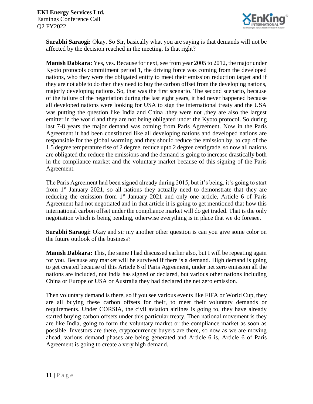

**Surabhi Saraogi:** Okay. So Sir, basically what you are saying is that demands will not be affected by the decision reached in the meeting. Is that right?

**Manish Dabkara:** Yes, yes. Because for next, see from year 2005 to 2012, the major under Kyoto protocols commitment period 1, the driving force was coming from the developed nations, who they were the obligated entity to meet their emission reduction target and if they are not able to do then they need to buy the carbon offset from the developing nations, majorly developing nations. So, that was the first scenario. The second scenario, because of the failure of the negotiation during the last eight years, it had never happened because all developed nations were looking for USA to sign the international treaty and the USA was putting the question like India and China ,they were not ,they are also the largest emitter in the world and they are not being obligated under the Kyoto protocol. So during last 7-8 years the major demand was coming from Paris Agreement. Now in the Paris Agreement it had been constituted like all developing nations and developed nations are responsible for the global warming and they should reduce the emission by, to cap of the 1.5 degree temperature rise of 2 degree, reduce upto 2 degree centigrade, so now all nations are obligated the reduce the emissions and the demand is going to increase drastically both in the compliance market and the voluntary market because of this signing of the Paris Agreement.

The Paris Agreement had been signed already during 2015, but it's being, it's going to start from  $1<sup>st</sup>$  January 2021, so all nations they actually need to demonstrate that they are reducing the emission from  $1<sup>st</sup>$  January 2021 and only one article, Article 6 of Paris Agreement had not negotiated and in that article it is going to get mentioned that how this international carbon offset under the compliance market will do get traded. That is the only negotiation which is being pending, otherwise everything is in place that we do foresee.

**Surabhi Saraogi:** Okay and sir my another other question is can you give some color on the future outlook of the business?

**Manish Dabkara:** This, the same I had discussed earlier also, but I will be repeating again for you. Because any market will be survived if there is a demand. High demand is going to get created because of this Article 6 of Paris Agreement, under net zero emission all the nations are included, not India has signed or declared, but various other nations including China or Europe or USA or Australia they had declared the net zero emission.

Then voluntary demand is there, so if you see various events like FIFA or World Cup, they are all buying these carbon offsets for their, to meet their voluntary demands or requirements. Under CORSIA, the civil aviation airlines is going to, they have already started buying carbon offsets under this particular treaty. Then national movement is they are like India, going to form the voluntary market or the compliance market as soon as possible. Investors are there, cryptocurrency buyers are there, so now as we are moving ahead, various demand phases are being generated and Article 6 is, Article 6 of Paris Agreement is going to create a very high demand.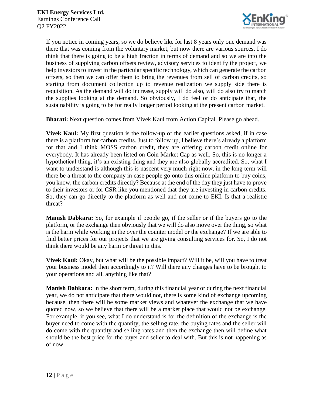

If you notice in coming years, so we do believe like for last 8 years only one demand was there that was coming from the voluntary market, but now there are various sources. I do think that there is going to be a high fraction in terms of demand and so we are into the business of supplying carbon offsets review, advisory services to identify the project, we help investors to invest in the particular specific technology, which can generate the carbon offsets, so then we can offer them to bring the revenues from sell of carbon credits, so starting from document collection up to revenue realization we supply side there is requisition. As the demand will do increase, supply will do also, will do also try to match the supplies looking at the demand. So obviously, I do feel or do anticipate that, the sustainability is going to be for really longer period looking at the present carbon market.

**Bharati:** Next question comes from Vivek Kaul from Action Capital. Please go ahead.

**Vivek Kaul:** My first question is the follow-up of the earlier questions asked, if in case there is a platform for carbon credits. Just to follow up, I believe there's already a platform for that and I think MOSS carbon credit, they are offering carbon credit online for everybody. It has already been listed on Coin Market Cap as well. So, this is no longer a hypothetical thing, it's an existing thing and they are also globally accredited. So, what I want to understand is although this is nascent very much right now, in the long term will there be a threat to the company in case people go onto this online platform to buy coins, you know, the carbon credits directly? Because at the end of the day they just have to prove to their investors or for CSR like you mentioned that they are investing in carbon credits. So, they can go directly to the platform as well and not come to EKI. Is that a realistic threat?

**Manish Dabkara:** So, for example if people go, if the seller or if the buyers go to the platform, or the exchange then obviously that we will do also move over the thing, so what is the harm while working in the over the counter model or the exchange? If we are able to find better prices for our projects that we are giving consulting services for. So, I do not think there would be any harm or threat in this.

**Vivek Kaul:** Okay, but what will be the possible impact? Will it be, will you have to treat your business model then accordingly to it? Will there any changes have to be brought to your operations and all, anything like that?

**Manish Dabkara:** In the short term, during this financial year or during the next financial year, we do not anticipate that there would not, there is some kind of exchange upcoming because, then there will be some market views and whatever the exchange that we have quoted now, so we believe that there will be a market place that would not be exchange. For example, if you see, what I do understand is for the definition of the exchange is the buyer need to come with the quantity, the selling rate, the buying rates and the seller will do come with the quantity and selling rates and then the exchange then will define what should be the best price for the buyer and seller to deal with. But this is not happening as of now.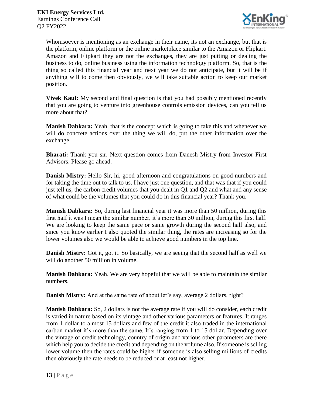

Whomsoever is mentioning as an exchange in their name, its not an exchange, but that is the platform, online platform or the online marketplace similar to the Amazon or Flipkart. Amazon and Flipkart they are not the exchanges, they are just putting or dealing the business to do, online business using the information technology platform. So, that is the thing so called this financial year and next year we do not anticipate, but it will be if anything will to come then obviously, we will take suitable action to keep our market position.

**Vivek Kaul:** My second and final question is that you had possibly mentioned recently that you are going to venture into greenhouse controls emission devices, can you tell us more about that?

**Manish Dabkara:** Yeah, that is the concept which is going to take this and whenever we will do concrete actions over the thing we will do, put the other information over the exchange.

**Bharati:** Thank you sir. Next question comes from Danesh Mistry from Investor First Advisors. Please go ahead.

**Danish Mistry:** Hello Sir, hi, good afternoon and congratulations on good numbers and for taking the time out to talk to us. I have just one question, and that was that if you could just tell us, the carbon credit volumes that you dealt in Q1 and Q2 and what and any sense of what could be the volumes that you could do in this financial year? Thank you.

**Manish Dabkara:** So, during last financial year it was more than 50 million, during this first half it was I mean the similar number, it's more than 50 million, during this first half. We are looking to keep the same pace or same growth during the second half also, and since you know earlier I also quoted the similar thing, the rates are increasing so for the lower volumes also we would be able to achieve good numbers in the top line.

**Danish Mistry:** Got it, got it. So basically, we are seeing that the second half as well we will do another 50 million in volume.

**Manish Dabkara:** Yeah. We are very hopeful that we will be able to maintain the similar numbers.

**Danish Mistry:** And at the same rate of about let's say, average 2 dollars, right?

**Manish Dabkara:** So, 2 dollars is not the average rate if you will do consider, each credit is varied in nature based on its vintage and other various parameters or features. It ranges from 1 dollar to almost 15 dollars and few of the credit it also traded in the international carbon market it's more than the same. It's ranging from 1 to 15 dollar. Depending over the vintage of credit technology, country of origin and various other parameters are there which help you to decide the credit and depending on the volume also. If someone is selling lower volume then the rates could be higher if someone is also selling millions of credits then obviously the rate needs to be reduced or at least not higher.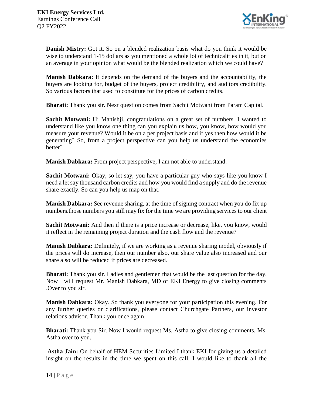

**Danish Mistry:** Got it. So on a blended realization basis what do you think it would be wise to understand 1-15 dollars as you mentioned a whole lot of technicalities in it, but on an average in your opinion what would be the blended realization which we could have?

**Manish Dabkara:** It depends on the demand of the buyers and the accountability, the buyers are looking for, budget of the buyers, project credibility, and auditors credibility. So various factors that used to constitute for the prices of carbon credits.

**Bharati:** Thank you sir. Next question comes from Sachit Motwani from Param Capital.

**Sachit Motwani:** Hi Manishji, congratulations on a great set of numbers. I wanted to understand like you know one thing can you explain us how, you know, how would you measure your revenue? Would it be on a per project basis and if yes then how would it be generating? So, from a project perspective can you help us understand the economies better?

**Manish Dabkara:** From project perspective, I am not able to understand.

**Sachit Motwani:** Okay, so let say, you have a particular guy who says like you know I need a let say thousand carbon credits and how you would find a supply and do the revenue share exactly. So can you help us map on that.

**Manish Dabkara:** See revenue sharing, at the time of signing contract when you do fix up numbers.those numbers you still may fix for the time we are providing services to our client

**Sachit Motwani:** And then if there is a price increase or decrease, like, you know, would it reflect in the remaining project duration and the cash flow and the revenue?

**Manish Dabkara:** Definitely, if we are working as a revenue sharing model, obviously if the prices will do increase, then our number also, our share value also increased and our share also will be reduced if prices are decreased.

**Bharati:** Thank you sir. Ladies and gentlemen that would be the last question for the day. Now I will request Mr. Manish Dabkara, MD of EKI Energy to give closing comments .Over to you sir.

**Manish Dabkara:** Okay. So thank you everyone for your participation this evening. For any further queries or clarifications, please contact Churchgate Partners, our investor relations advisor. Thank you once again.

**Bharati:** Thank you Sir. Now I would request Ms. Astha to give closing comments. Ms. Astha over to you.

**Astha Jain:** On behalf of HEM Securities Limited I thank EKI for giving us a detailed insight on the results in the time we spent on this call. I would like to thank all the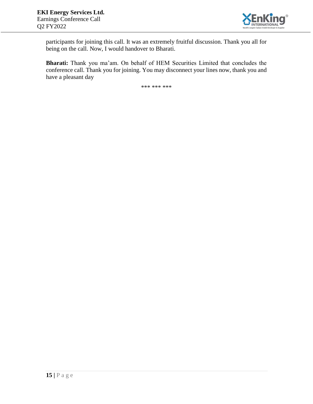

participants for joining this call. It was an extremely fruitful discussion. Thank you all for being on the call. Now, I would handover to Bharati.

**Bharati:** Thank you ma'am. On behalf of HEM Securities Limited that concludes the conference call. Thank you for joining. You may disconnect your lines now, thank you and have a pleasant day

\*\*\* \*\*\* \*\*\*